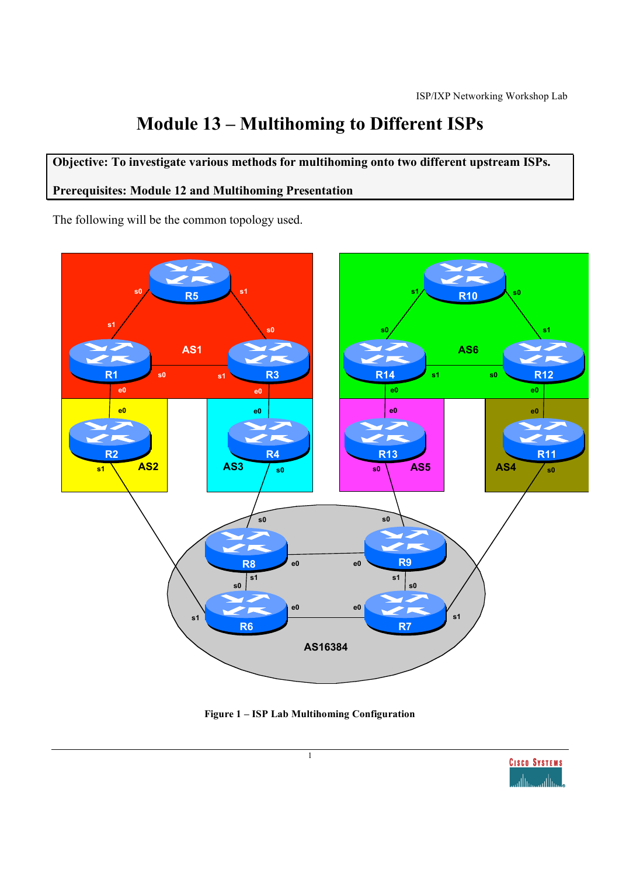# **Module 13 – Multihoming to Different ISPs**

## **Objective: To investigate various methods for multihoming onto two different upstream ISPs.**

#### **Prerequisites: Module 12 and Multihoming Presentation**

The following will be the common topology used.





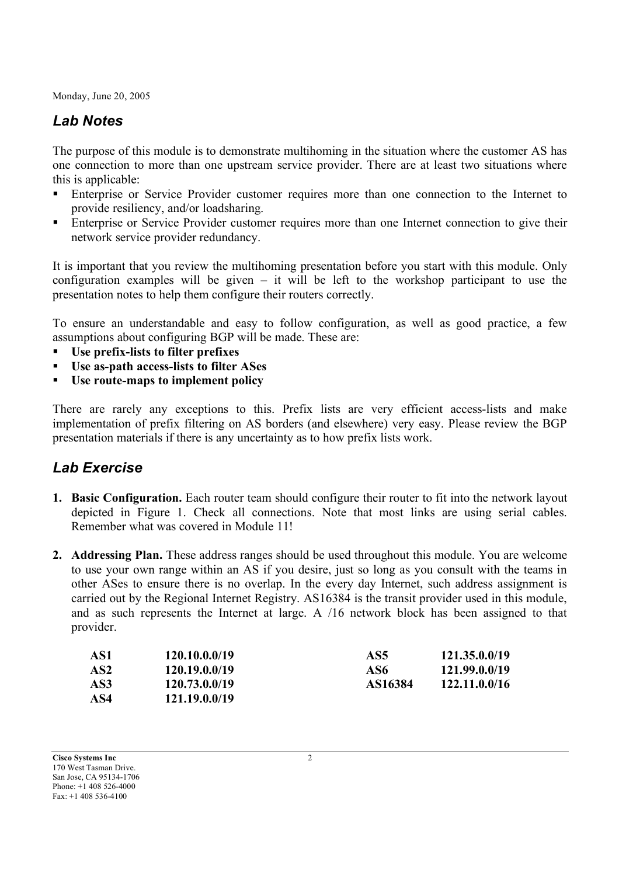## *Lab Notes*

The purpose of this module is to demonstrate multihoming in the situation where the customer AS has one connection to more than one upstream service provider. There are at least two situations where this is applicable:

- Enterprise or Service Provider customer requires more than one connection to the Internet to provide resiliency, and/or loadsharing.
- **Enterprise or Service Provider customer requires more than one Internet connection to give their** network service provider redundancy.

It is important that you review the multihoming presentation before you start with this module. Only configuration examples will be given – it will be left to the workshop participant to use the presentation notes to help them configure their routers correctly.

To ensure an understandable and easy to follow configuration, as well as good practice, a few assumptions about configuring BGP will be made. These are:

- **Use prefix-lists to filter prefixes**
- **Use as-path access-lists to filter ASes**
- **Use route-maps to implement policy**

There are rarely any exceptions to this. Prefix lists are very efficient access-lists and make implementation of prefix filtering on AS borders (and elsewhere) very easy. Please review the BGP presentation materials if there is any uncertainty as to how prefix lists work.

### *Lab Exercise*

- **1. Basic Configuration.** Each router team should configure their router to fit into the network layout depicted in Figure 1. Check all connections. Note that most links are using serial cables. Remember what was covered in Module 11!
- **2. Addressing Plan.** These address ranges should be used throughout this module. You are welcome to use your own range within an AS if you desire, just so long as you consult with the teams in other ASes to ensure there is no overlap. In the every day Internet, such address assignment is carried out by the Regional Internet Registry. AS16384 is the transit provider used in this module, and as such represents the Internet at large. A /16 network block has been assigned to that provider.

| AS1             | 120.10.0.0/19 | AS5     | 121.35.0.0/19 |
|-----------------|---------------|---------|---------------|
| AS <sub>2</sub> | 120.19.0.0/19 | AS6     | 121.99.0.0/19 |
| AS3             | 120.73.0.0/19 | AS16384 | 122.11.0.0/16 |
| AS4             | 121.19.0.0/19 |         |               |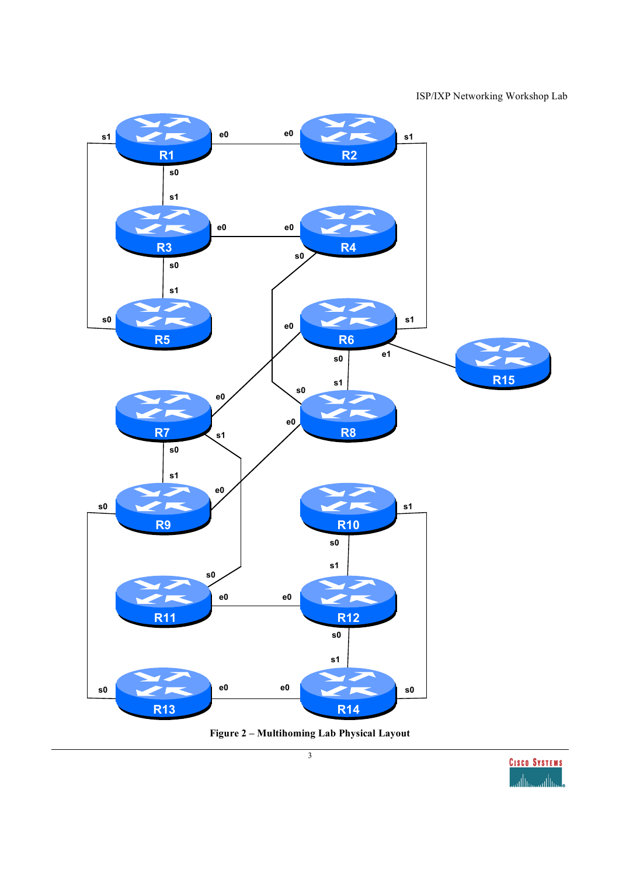ISP/IXP Networking Workshop Lab



**Figure 2 – Multihoming Lab Physical Layout**

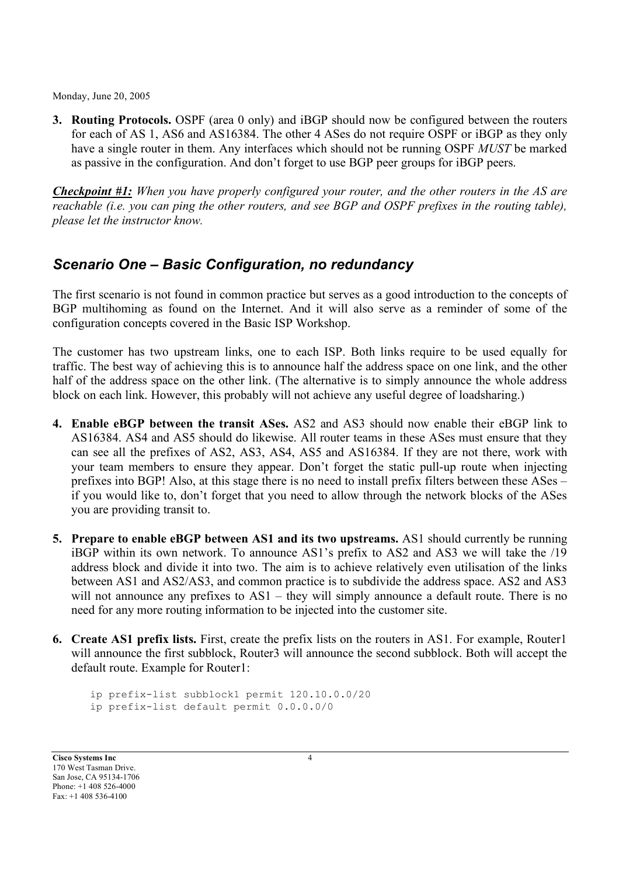**3. Routing Protocols.** OSPF (area 0 only) and iBGP should now be configured between the routers for each of AS 1, AS6 and AS16384. The other 4 ASes do not require OSPF or iBGP as they only have a single router in them. Any interfaces which should not be running OSPF *MUST* be marked as passive in the configuration. And don't forget to use BGP peer groups for iBGP peers.

*Checkpoint #1: When you have properly configured your router, and the other routers in the AS are reachable (i.e. you can ping the other routers, and see BGP and OSPF prefixes in the routing table), please let the instructor know.*

#### *Scenario One – Basic Configuration, no redundancy*

The first scenario is not found in common practice but serves as a good introduction to the concepts of BGP multihoming as found on the Internet. And it will also serve as a reminder of some of the configuration concepts covered in the Basic ISP Workshop.

The customer has two upstream links, one to each ISP. Both links require to be used equally for traffic. The best way of achieving this is to announce half the address space on one link, and the other half of the address space on the other link. (The alternative is to simply announce the whole address block on each link. However, this probably will not achieve any useful degree of loadsharing.)

- **4. Enable eBGP between the transit ASes.** AS2 and AS3 should now enable their eBGP link to AS16384. AS4 and AS5 should do likewise. All router teams in these ASes must ensure that they can see all the prefixes of AS2, AS3, AS4, AS5 and AS16384. If they are not there, work with your team members to ensure they appear. Don't forget the static pull-up route when injecting prefixes into BGP! Also, at this stage there is no need to install prefix filters between these ASes – if you would like to, don't forget that you need to allow through the network blocks of the ASes you are providing transit to.
- **5. Prepare to enable eBGP between AS1 and its two upstreams.** AS1 should currently be running iBGP within its own network. To announce AS1's prefix to AS2 and AS3 we will take the /19 address block and divide it into two. The aim is to achieve relatively even utilisation of the links between AS1 and AS2/AS3, and common practice is to subdivide the address space. AS2 and AS3 will not announce any prefixes to AS1 – they will simply announce a default route. There is no need for any more routing information to be injected into the customer site.
- **6. Create AS1 prefix lists.** First, create the prefix lists on the routers in AS1. For example, Router1 will announce the first subblock, Router3 will announce the second subblock. Both will accept the default route. Example for Router1:

ip prefix-list subblock1 permit 120.10.0.0/20 ip prefix-list default permit 0.0.0.0/0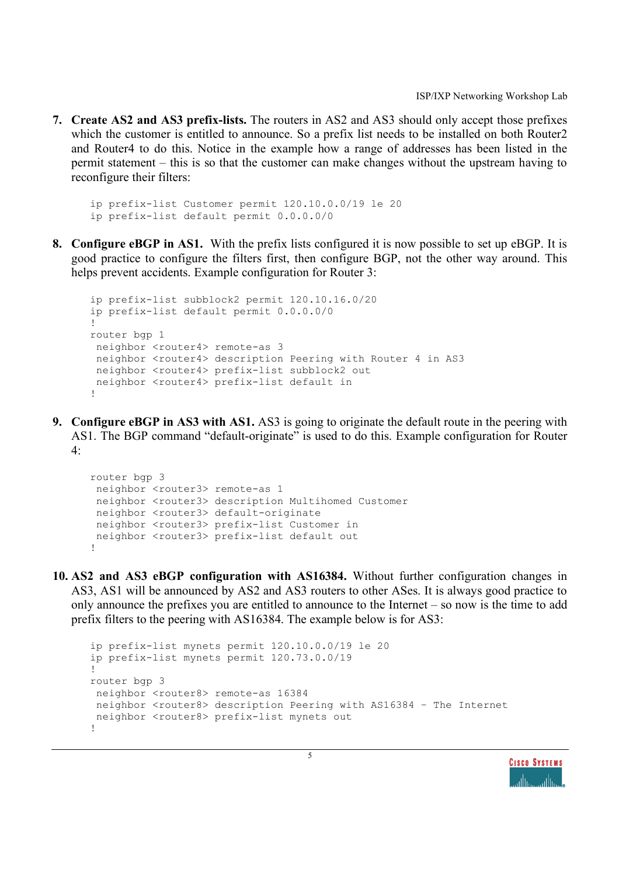**7. Create AS2 and AS3 prefix-lists.** The routers in AS2 and AS3 should only accept those prefixes which the customer is entitled to announce. So a prefix list needs to be installed on both Router2 and Router4 to do this. Notice in the example how a range of addresses has been listed in the permit statement – this is so that the customer can make changes without the upstream having to reconfigure their filters:

```
ip prefix-list Customer permit 120.10.0.0/19 le 20
ip prefix-list default permit 0.0.0.0/0
```
**8. Configure eBGP in AS1.** With the prefix lists configured it is now possible to set up eBGP. It is good practice to configure the filters first, then configure BGP, not the other way around. This helps prevent accidents. Example configuration for Router 3:

```
ip prefix-list subblock2 permit 120.10.16.0/20
ip prefix-list default permit 0.0.0.0/0
!
router bgp 1
neighbor <router4> remote-as 3
 neighbor <router4> description Peering with Router 4 in AS3
 neighbor <router4> prefix-list subblock2 out
 neighbor <router4> prefix-list default in
!
```
**9. Configure eBGP in AS3 with AS1.** AS3 is going to originate the default route in the peering with AS1. The BGP command "default-originate" is used to do this. Example configuration for Router 4:

```
router bgp 3
 neighbor <router3> remote-as 1
 neighbor <router3> description Multihomed Customer
 neighbor <router3> default-originate
 neighbor <router3> prefix-list Customer in
 neighbor <router3> prefix-list default out
!
```
**10. AS2 and AS3 eBGP configuration with AS16384.** Without further configuration changes in AS3, AS1 will be announced by AS2 and AS3 routers to other ASes. It is always good practice to only announce the prefixes you are entitled to announce to the Internet – so now is the time to add prefix filters to the peering with AS16384. The example below is for AS3:

```
ip prefix-list mynets permit 120.10.0.0/19 le 20
ip prefix-list mynets permit 120.73.0.0/19
!
router bgp 3
neighbor <router8> remote-as 16384
 neighbor <router8> description Peering with AS16384 – The Internet
neighbor <router8> prefix-list mynets out
!
```
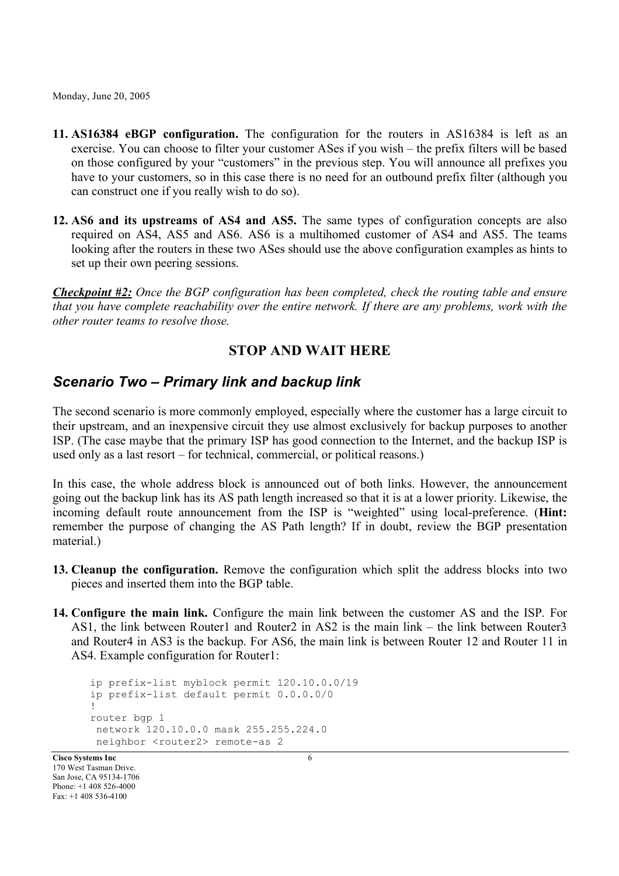- **11. AS16384 eBGP configuration.** The configuration for the routers in AS16384 is left as an exercise. You can choose to filter your customer ASes if you wish – the prefix filters will be based on those configured by your "customers" in the previous step. You will announce all prefixes you have to your customers, so in this case there is no need for an outbound prefix filter (although you can construct one if you really wish to do so).
- **12. AS6 and its upstreams of AS4 and AS5.** The same types of configuration concepts are also required on AS4, AS5 and AS6. AS6 is a multihomed customer of AS4 and AS5. The teams looking after the routers in these two ASes should use the above configuration examples as hints to set up their own peering sessions.

*Checkpoint #2: Once the BGP configuration has been completed, check the routing table and ensure that you have complete reachability over the entire network. If there are any problems, work with the other router teams to resolve those.*

#### **STOP AND WAIT HERE**

#### *Scenario Two – Primary link and backup link*

The second scenario is more commonly employed, especially where the customer has a large circuit to their upstream, and an inexpensive circuit they use almost exclusively for backup purposes to another ISP. (The case maybe that the primary ISP has good connection to the Internet, and the backup ISP is used only as a last resort – for technical, commercial, or political reasons.)

In this case, the whole address block is announced out of both links. However, the announcement going out the backup link has its AS path length increased so that it is at a lower priority. Likewise, the incoming default route announcement from the ISP is "weighted" using local-preference. (**Hint:** remember the purpose of changing the AS Path length? If in doubt, review the BGP presentation material.)

- **13. Cleanup the configuration.** Remove the configuration which split the address blocks into two pieces and inserted them into the BGP table.
- **14. Configure the main link.** Configure the main link between the customer AS and the ISP. For AS1, the link between Router1 and Router2 in AS2 is the main link – the link between Router3 and Router4 in AS3 is the backup. For AS6, the main link is between Router 12 and Router 11 in AS4. Example configuration for Router1:

```
ip prefix-list myblock permit 120.10.0.0/19
ip prefix-list default permit 0.0.0.0/0
!
router bgp 1
network 120.10.0.0 mask 255.255.224.0
neighbor <router2> remote-as 2
```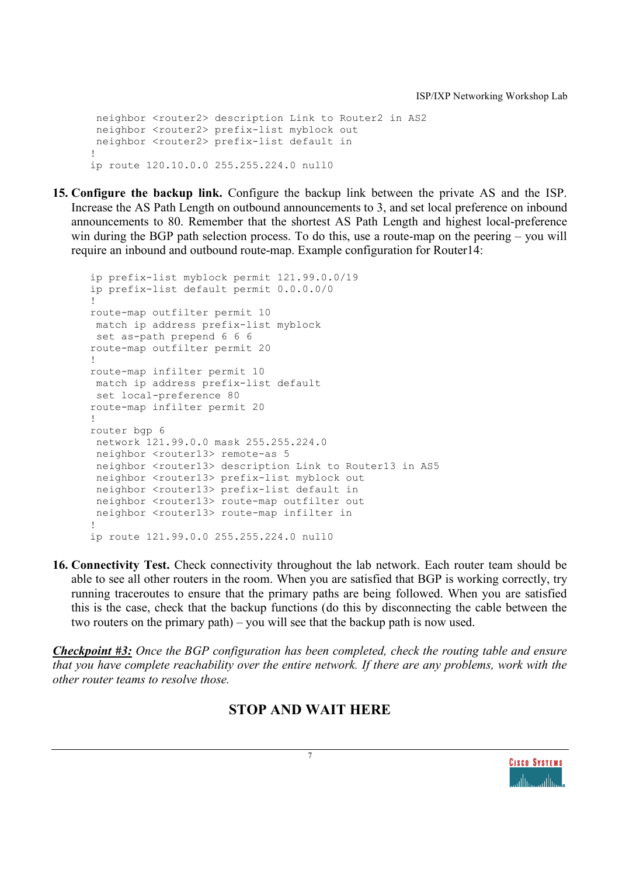neighbor <router2> description Link to Router2 in AS2 neighbor <router2> prefix-list myblock out neighbor <router2> prefix-list default in ! ip route 120.10.0.0 255.255.224.0 null0

**15. Configure the backup link.** Configure the backup link between the private AS and the ISP. Increase the AS Path Length on outbound announcements to 3, and set local preference on inbound announcements to 80. Remember that the shortest AS Path Length and highest local-preference win during the BGP path selection process. To do this, use a route-map on the peering – you will require an inbound and outbound route-map. Example configuration for Router14:

```
ip prefix-list myblock permit 121.99.0.0/19
ip prefix-list default permit 0.0.0.0/0
!
route-map outfilter permit 10
match ip address prefix-list myblock
set as-path prepend 6 6 6
route-map outfilter permit 20
!
route-map infilter permit 10
match ip address prefix-list default
set local-preference 80
route-map infilter permit 20
!
router bgp 6
network 121.99.0.0 mask 255.255.224.0
 neighbor <router13> remote-as 5
 neighbor <router13> description Link to Router13 in AS5
 neighbor <router13> prefix-list myblock out
 neighbor <router13> prefix-list default in
 neighbor <router13> route-map outfilter out
neighbor <router13> route-map infilter in
!
ip route 121.99.0.0 255.255.224.0 null0
```
**16. Connectivity Test.** Check connectivity throughout the lab network. Each router team should be able to see all other routers in the room. When you are satisfied that BGP is working correctly, try running traceroutes to ensure that the primary paths are being followed. When you are satisfied this is the case, check that the backup functions (do this by disconnecting the cable between the two routers on the primary path) – you will see that the backup path is now used.

*Checkpoint #3: Once the BGP configuration has been completed, check the routing table and ensure that you have complete reachability over the entire network. If there are any problems, work with the other router teams to resolve those.*

#### **STOP AND WAIT HERE**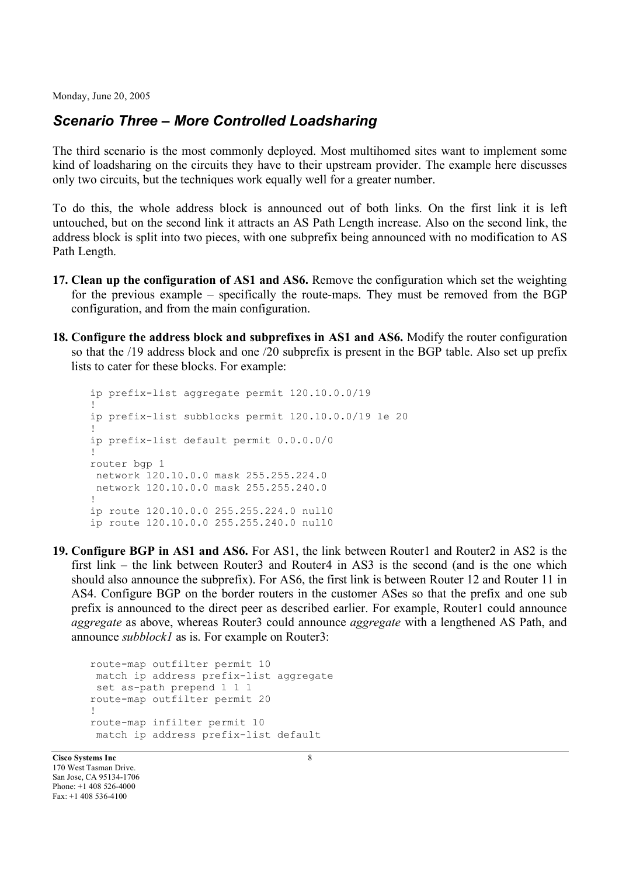#### *Scenario Three – More Controlled Loadsharing*

The third scenario is the most commonly deployed. Most multihomed sites want to implement some kind of loadsharing on the circuits they have to their upstream provider. The example here discusses only two circuits, but the techniques work equally well for a greater number.

To do this, the whole address block is announced out of both links. On the first link it is left untouched, but on the second link it attracts an AS Path Length increase. Also on the second link, the address block is split into two pieces, with one subprefix being announced with no modification to AS Path Length.

- **17. Clean up the configuration of AS1 and AS6.** Remove the configuration which set the weighting for the previous example – specifically the route-maps. They must be removed from the BGP configuration, and from the main configuration.
- **18. Configure the address block and subprefixes in AS1 and AS6.** Modify the router configuration so that the /19 address block and one /20 subprefix is present in the BGP table. Also set up prefix lists to cater for these blocks. For example:

```
ip prefix-list aggregate permit 120.10.0.0/19
!
ip prefix-list subblocks permit 120.10.0.0/19 le 20
!
ip prefix-list default permit 0.0.0.0/0
!
router bgp 1
network 120.10.0.0 mask 255.255.224.0
network 120.10.0.0 mask 255.255.240.0
!
ip route 120.10.0.0 255.255.224.0 null0
ip route 120.10.0.0 255.255.240.0 null0
```
**19. Configure BGP in AS1 and AS6.** For AS1, the link between Router1 and Router2 in AS2 is the first link – the link between Router3 and Router4 in AS3 is the second (and is the one which should also announce the subprefix). For AS6, the first link is between Router 12 and Router 11 in AS4. Configure BGP on the border routers in the customer ASes so that the prefix and one sub prefix is announced to the direct peer as described earlier. For example, Router1 could announce *aggregate* as above, whereas Router3 could announce *aggregate* with a lengthened AS Path, and announce *subblock1* as is. For example on Router3:

```
route-map outfilter permit 10
match ip address prefix-list aggregate
set as-path prepend 1 1 1
route-map outfilter permit 20
!
route-map infilter permit 10
 match ip address prefix-list default
```
**Cisco Systems Inc** 8 170 West Tasman Drive. San Jose, CA 95134-1706 Phone: +1 408 526-4000 Fax: +1 408 536-4100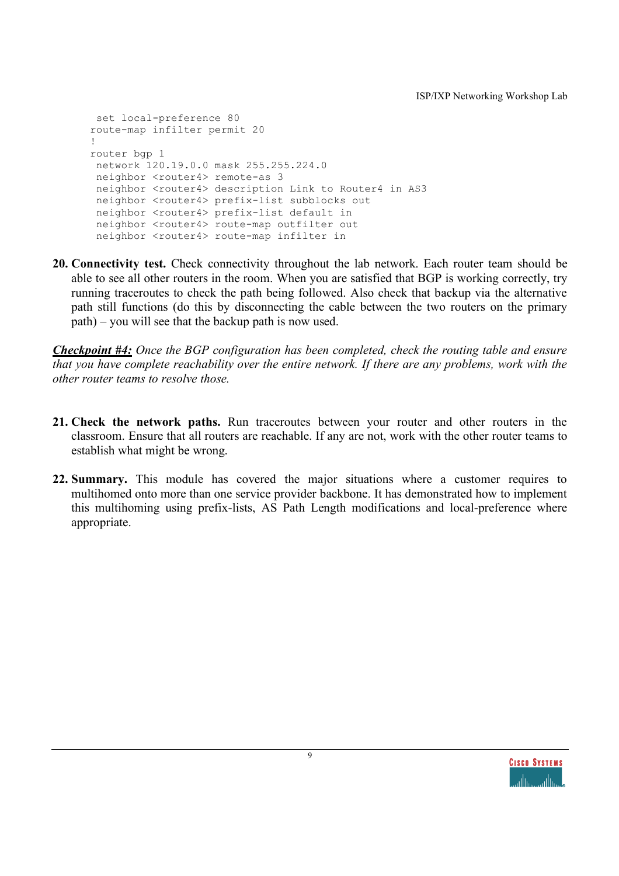```
set local-preference 80
route-map infilter permit 20
!
router bgp 1
network 120.19.0.0 mask 255.255.224.0
neighbor <router4> remote-as 3
 neighbor <router4> description Link to Router4 in AS3
 neighbor <router4> prefix-list subblocks out
 neighbor <router4> prefix-list default in
 neighbor <router4> route-map outfilter out
 neighbor <router4> route-map infilter in
```
**20. Connectivity test.** Check connectivity throughout the lab network. Each router team should be able to see all other routers in the room. When you are satisfied that BGP is working correctly, try running traceroutes to check the path being followed. Also check that backup via the alternative path still functions (do this by disconnecting the cable between the two routers on the primary path) – you will see that the backup path is now used.

*Checkpoint #4: Once the BGP configuration has been completed, check the routing table and ensure that you have complete reachability over the entire network. If there are any problems, work with the other router teams to resolve those.*

- **21. Check the network paths.** Run traceroutes between your router and other routers in the classroom. Ensure that all routers are reachable. If any are not, work with the other router teams to establish what might be wrong.
- **22. Summary.** This module has covered the major situations where a customer requires to multihomed onto more than one service provider backbone. It has demonstrated how to implement this multihoming using prefix-lists, AS Path Length modifications and local-preference where appropriate.